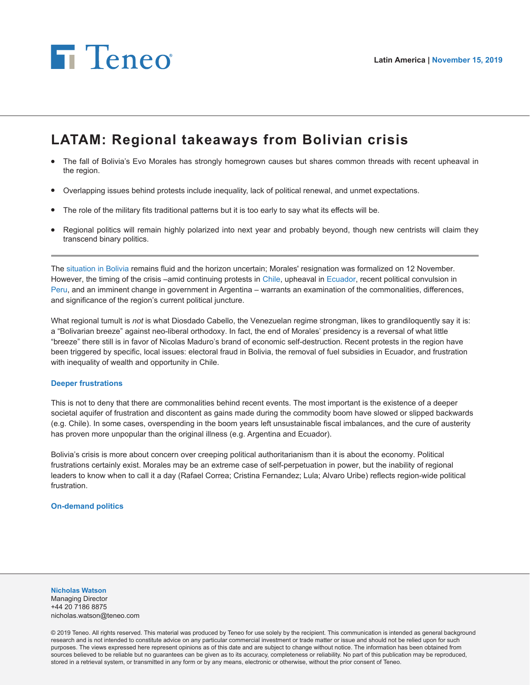

# **LATAM: Regional takeaways from Bolivian crisis**

- The fall of Bolivia's Evo Morales has strongly homegrown causes but shares common threads with recent upheaval in the region.
- Overlapping issues behind protests include inequality, lack of political renewal, and unmet expectations.
- The role of the military fits traditional patterns but it is too early to say what its effects will be.
- Regional politics will remain highly polarized into next year and probably beyond, though new centrists will claim they transcend binary politics.

The [situation in Bolivia](https://teneointel.bluematrix.com/sellside/EmailDocViewer?encrypt=354b3178-28d8-4c51-90ef-d374db7f5c21&mime=pdf&co=teneointel&id=nicholas.watson@teneo.com&source=libraryView&htmlToPdf=true) remains fluid and the horizon uncertain; Morales' resignation was formalized on 12 November. However, the timing of the crisis –amid continuing protests in [Chile](https://teneointel.bluematrix.com/sellside/EmailDocViewer?encrypt=7ce253cc-0477-4611-9fed-617c27570d62&mime=pdf&co=teneointel&id=nicholas.watson@teneo.com&source=libraryView&htmlToPdf=true), upheaval in [Ecuador](https://teneointel.bluematrix.com/sellside/EmailDocViewer?encrypt=6f287165-6651-4f71-8a36-4084df2e4efa&mime=pdf&co=teneointel&id=nicholas.watson@teneo.com&source=libraryView&htmlToPdf=true), recent political convulsion in [Peru,](https://teneointel.bluematrix.com/sellside/EmailDocViewer?encrypt=21f74961-c034-458d-bc42-da89633b80de&mime=pdf&co=teneointel&id=nicholas.watson@teneo.com&source=libraryView&htmlToPdf=true) and an imminent change in government in Argentina – warrants an examination of the commonalities, differences, and significance of the region's current political juncture.

What regional tumult is *not* is what Diosdado Cabello, the Venezuelan regime strongman, likes to grandiloquently say it is: a "Bolivarian breeze" against neo-liberal orthodoxy. In fact, the end of Morales' presidency is a reversal of what little "breeze" there still is in favor of Nicolas Maduro's brand of economic self-destruction. Recent protests in the region have been triggered by specific, local issues: electoral fraud in Bolivia, the removal of fuel subsidies in Ecuador, and frustration with inequality of wealth and opportunity in Chile.

#### **Deeper frustrations**

This is not to deny that there are commonalities behind recent events. The most important is the existence of a deeper societal aquifer of frustration and discontent as gains made during the commodity boom have slowed or slipped backwards (e.g. Chile). In some cases, overspending in the boom years left unsustainable fiscal imbalances, and the cure of austerity has proven more unpopular than the original illness (e.g. Argentina and Ecuador).

Bolivia's crisis is more about concern over creeping political authoritarianism than it is about the economy. Political frustrations certainly exist. Morales may be an extreme case of self-perpetuation in power, but the inability of regional leaders to know when to call it a day (Rafael Correa; Cristina Fernandez; Lula; Alvaro Uribe) reflects region-wide political frustration.

#### **On-demand politics**

#### **Nicholas Watson**

Managing Director +44 20 7186 8875 nicholas.watson@teneo.com

© 2019 Teneo. All rights reserved. This material was produced by Teneo for use solely by the recipient. This communication is intended as general background research and is not intended to constitute advice on any particular commercial investment or trade matter or issue and should not be relied upon for such purposes. The views expressed here represent opinions as of this date and are subject to change without notice. The information has been obtained from sources believed to be reliable but no guarantees can be given as to its accuracy, completeness or reliability. No part of this publication may be reproduced, stored in a retrieval system, or transmitted in any form or by any means, electronic or otherwise, without the prior consent of Teneo.